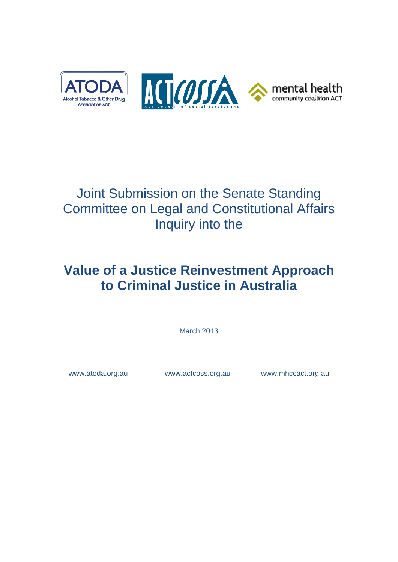

# Joint Submission on the Senate Standing Committee on Legal and Constitutional Affairs Inquiry into the

# **Value of a Justice Reinvestment Approach to Criminal Justice in Australia**

March 2013

www.atoda.org.au www.actcoss.org.au www.mhccact.org.au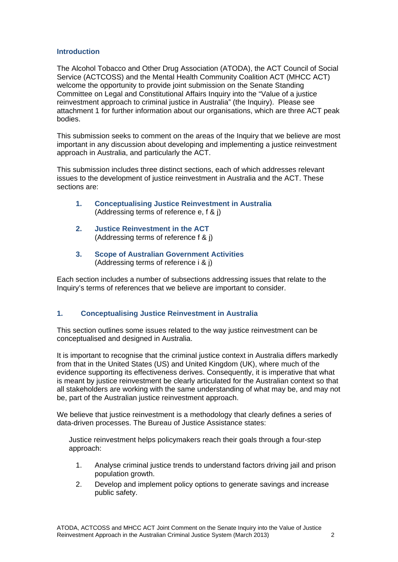## **Introduction**

The Alcohol Tobacco and Other Drug Association (ATODA), the ACT Council of Social Service (ACTCOSS) and the Mental Health Community Coalition ACT (MHCC ACT) welcome the opportunity to provide joint submission on the Senate Standing Committee on Legal and Constitutional Affairs Inquiry into the "Value of a justice reinvestment approach to criminal justice in Australia" (the Inquiry). Please see attachment 1 for further information about our organisations, which are three ACT peak bodies.

This submission seeks to comment on the areas of the Inquiry that we believe are most important in any discussion about developing and implementing a justice reinvestment approach in Australia, and particularly the ACT.

This submission includes three distinct sections, each of which addresses relevant issues to the development of justice reinvestment in Australia and the ACT. These sections are:

- **1. Conceptualising Justice Reinvestment in Australia** (Addressing terms of reference e, f & j)
- **2. Justice Reinvestment in the ACT** (Addressing terms of reference f & j)
- **3. Scope of Australian Government Activities** (Addressing terms of reference i & j)

Each section includes a number of subsections addressing issues that relate to the Inquiry's terms of references that we believe are important to consider.

## **1. Conceptualising Justice Reinvestment in Australia**

This section outlines some issues related to the way justice reinvestment can be conceptualised and designed in Australia.

It is important to recognise that the criminal justice context in Australia differs markedly from that in the United States (US) and United Kingdom (UK), where much of the evidence supporting its effectiveness derives. Consequently, it is imperative that what is meant by justice reinvestment be clearly articulated for the Australian context so that all stakeholders are working with the same understanding of what may be, and may not be, part of the Australian justice reinvestment approach.

We believe that justice reinvestment is a methodology that clearly defines a series of data-driven processes. The Bureau of Justice Assistance states:

Justice reinvestment helps policymakers reach their goals through a four-step approach:

- 1. Analyse criminal justice trends to understand factors driving jail and prison population growth.
- 2. Develop and implement policy options to generate savings and increase public safety.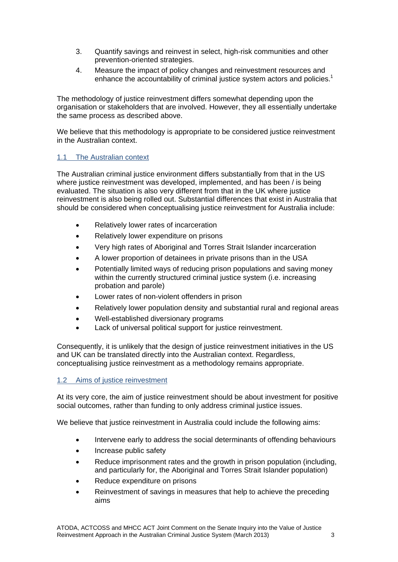- 3. Quantify savings and reinvest in select, high-risk communities and other prevention-oriented strategies.
- 4. Measure the impact of policy changes and reinvestment resources and enhance the accountability of criminal justice system actors and policies.<sup>1</sup>

The methodology of justice reinvestment differs somewhat depending upon the organisation or stakeholders that are involved. However, they all essentially undertake the same process as described above.

We believe that this methodology is appropriate to be considered justice reinvestment in the Australian context.

## 1.1 The Australian context

The Australian criminal justice environment differs substantially from that in the US where justice reinvestment was developed, implemented, and has been / is being evaluated. The situation is also very different from that in the UK where justice reinvestment is also being rolled out. Substantial differences that exist in Australia that should be considered when conceptualising justice reinvestment for Australia include:

- Relatively lower rates of incarceration
- Relatively lower expenditure on prisons
- Very high rates of Aboriginal and Torres Strait Islander incarceration
- A lower proportion of detainees in private prisons than in the USA
- Potentially limited ways of reducing prison populations and saving money within the currently structured criminal justice system (*i.e.* increasing probation and parole)
- Lower rates of non-violent offenders in prison
- Relatively lower population density and substantial rural and regional areas
- Well-established diversionary programs
- Lack of universal political support for justice reinvestment.

Consequently, it is unlikely that the design of justice reinvestment initiatives in the US and UK can be translated directly into the Australian context. Regardless, conceptualising justice reinvestment as a methodology remains appropriate.

#### 1.2 Aims of justice reinvestment

At its very core, the aim of justice reinvestment should be about investment for positive social outcomes, rather than funding to only address criminal justice issues.

We believe that justice reinvestment in Australia could include the following aims:

- Intervene early to address the social determinants of offending behaviours
- Increase public safety
- Reduce imprisonment rates and the growth in prison population (including, and particularly for, the Aboriginal and Torres Strait Islander population)
- Reduce expenditure on prisons
- Reinvestment of savings in measures that help to achieve the preceding aims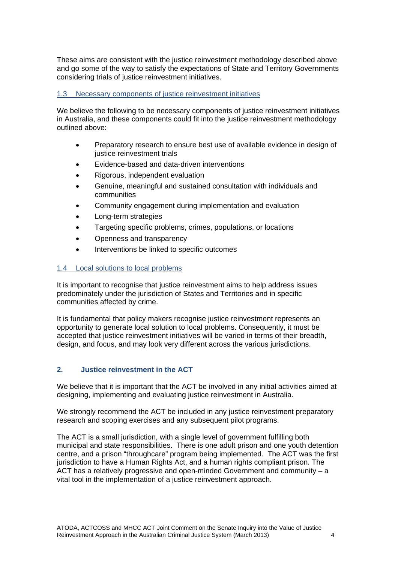These aims are consistent with the justice reinvestment methodology described above and go some of the way to satisfy the expectations of State and Territory Governments considering trials of justice reinvestment initiatives.

## 1.3 Necessary components of justice reinvestment initiatives

We believe the following to be necessary components of justice reinvestment initiatives in Australia, and these components could fit into the justice reinvestment methodology outlined above:

- Preparatory research to ensure best use of available evidence in design of justice reinvestment trials
- Evidence-based and data-driven interventions
- Rigorous, independent evaluation
- Genuine, meaningful and sustained consultation with individuals and communities
- Community engagement during implementation and evaluation
- Long-term strategies
- Targeting specific problems, crimes, populations, or locations
- Openness and transparency
- Interventions be linked to specific outcomes

# 1.4 Local solutions to local problems

It is important to recognise that justice reinvestment aims to help address issues predominately under the jurisdiction of States and Territories and in specific communities affected by crime.

It is fundamental that policy makers recognise justice reinvestment represents an opportunity to generate local solution to local problems. Consequently, it must be accepted that justice reinvestment initiatives will be varied in terms of their breadth, design, and focus, and may look very different across the various jurisdictions.

## **2. Justice reinvestment in the ACT**

We believe that it is important that the ACT be involved in any initial activities aimed at designing, implementing and evaluating justice reinvestment in Australia.

We strongly recommend the ACT be included in any justice reinvestment preparatory research and scoping exercises and any subsequent pilot programs.

The ACT is a small jurisdiction, with a single level of government fulfilling both municipal and state responsibilities. There is one adult prison and one youth detention centre, and a prison "throughcare" program being implemented. The ACT was the first jurisdiction to have a Human Rights Act, and a human rights compliant prison. The ACT has a relatively progressive and open-minded Government and community – a vital tool in the implementation of a justice reinvestment approach.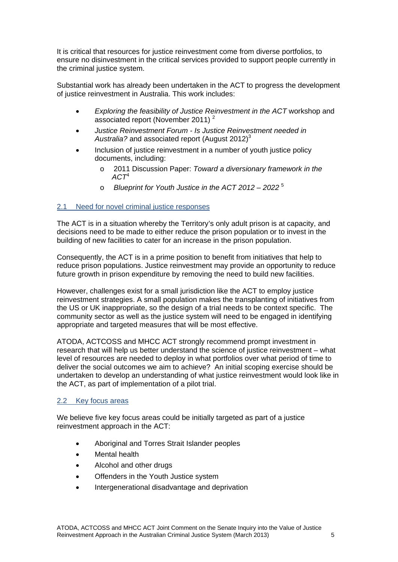It is critical that resources for justice reinvestment come from diverse portfolios, to ensure no disinvestment in the critical services provided to support people currently in the criminal justice system.

Substantial work has already been undertaken in the ACT to progress the development of justice reinvestment in Australia. This work includes:

- *Exploring the feasibility of Justice Reinvestment in the ACT* workshop and associated report (November 2011)<sup>2</sup>
- *Justice Reinvestment Forum Is Justice Reinvestment needed in*  Australia? and associated report (August 2012)<sup>3</sup>
- Inclusion of justice reinvestment in a number of youth justice policy documents, including:
	- o 2011 Discussion Paper: *Toward a diversionary framework in the ACT*<sup>4</sup>
	- o *Blueprint for Youth Justice in the ACT 2012 2022* <sup>5</sup>

## 2.1 Need for novel criminal justice responses

The ACT is in a situation whereby the Territory's only adult prison is at capacity, and decisions need to be made to either reduce the prison population or to invest in the building of new facilities to cater for an increase in the prison population.

Consequently, the ACT is in a prime position to benefit from initiatives that help to reduce prison populations. Justice reinvestment may provide an opportunity to reduce future growth in prison expenditure by removing the need to build new facilities.

However, challenges exist for a small jurisdiction like the ACT to employ justice reinvestment strategies. A small population makes the transplanting of initiatives from the US or UK inappropriate, so the design of a trial needs to be context specific. The community sector as well as the justice system will need to be engaged in identifying appropriate and targeted measures that will be most effective.

ATODA, ACTCOSS and MHCC ACT strongly recommend prompt investment in research that will help us better understand the science of justice reinvestment – what level of resources are needed to deploy in what portfolios over what period of time to deliver the social outcomes we aim to achieve? An initial scoping exercise should be undertaken to develop an understanding of what justice reinvestment would look like in the ACT, as part of implementation of a pilot trial.

## 2.2 Key focus areas

We believe five key focus areas could be initially targeted as part of a justice reinvestment approach in the ACT:

- Aboriginal and Torres Strait Islander peoples
- Mental health
- Alcohol and other drugs
- Offenders in the Youth Justice system
- Intergenerational disadvantage and deprivation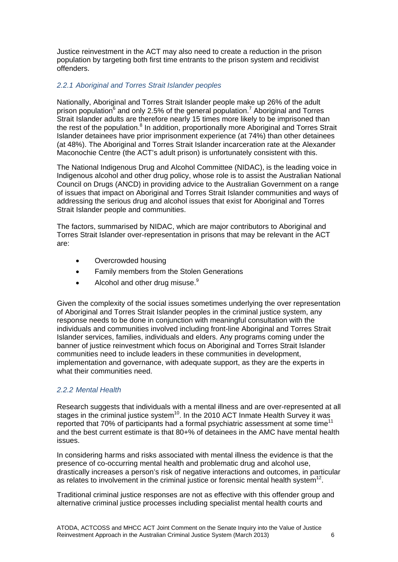Justice reinvestment in the ACT may also need to create a reduction in the prison population by targeting both first time entrants to the prison system and recidivist offenders.

## *2.2.1 Aboriginal and Torres Strait Islander peoples*

Nationally, Aboriginal and Torres Strait Islander people make up 26% of the adult prison population<sup>6</sup> and only 2.5% of the general population.<sup>7</sup> Aboriginal and Torres Strait Islander adults are therefore nearly 15 times more likely to be imprisoned than the rest of the population.<sup>8</sup> In addition, proportionally more Aboriginal and Torres Strait Islander detainees have prior imprisonment experience (at 74%) than other detainees (at 48%). The Aboriginal and Torres Strait Islander incarceration rate at the Alexander Maconochie Centre (the ACT's adult prison) is unfortunately consistent with this.

The National Indigenous Drug and Alcohol Committee (NIDAC), is the leading voice in Indigenous alcohol and other drug policy, whose role is to assist the Australian National Council on Drugs (ANCD) in providing advice to the Australian Government on a range of issues that impact on Aboriginal and Torres Strait Islander communities and ways of addressing the serious drug and alcohol issues that exist for Aboriginal and Torres Strait Islander people and communities.

The factors, summarised by NIDAC, which are major contributors to Aboriginal and Torres Strait Islander over-representation in prisons that may be relevant in the ACT are:

- Overcrowded housing
- Family members from the Stolen Generations
- Alcohol and other drug misuse.<sup>9</sup>

Given the complexity of the social issues sometimes underlying the over representation of Aboriginal and Torres Strait Islander peoples in the criminal justice system, any response needs to be done in conjunction with meaningful consultation with the individuals and communities involved including front-line Aboriginal and Torres Strait Islander services, families, individuals and elders. Any programs coming under the banner of justice reinvestment which focus on Aboriginal and Torres Strait Islander communities need to include leaders in these communities in development, implementation and governance, with adequate support, as they are the experts in what their communities need.

## *2.2.2 Mental Health*

Research suggests that individuals with a mental illness and are over-represented at all stages in the criminal justice system<sup>10</sup>. In the 2010 ACT Inmate Health Survey it was reported that 70% of participants had a formal psychiatric assessment at some time<sup>11</sup> and the best current estimate is that 80+% of detainees in the AMC have mental health issues.

In considering harms and risks associated with mental illness the evidence is that the presence of co-occurring mental health and problematic drug and alcohol use, drastically increases a person's risk of negative interactions and outcomes, in particular as relates to involvement in the criminal justice or forensic mental health system<sup>12</sup>.

Traditional criminal justice responses are not as effective with this offender group and alternative criminal justice processes including specialist mental health courts and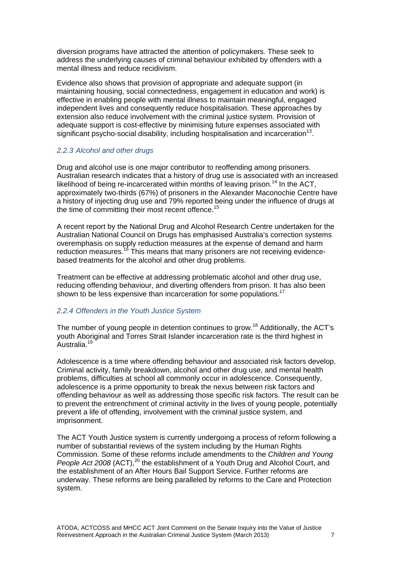diversion programs have attracted the attention of policymakers. These seek to address the underlying causes of criminal behaviour exhibited by offenders with a mental illness and reduce recidivism.

Evidence also shows that provision of appropriate and adequate support (in maintaining housing, social connectedness, engagement in education and work) is effective in enabling people with mental illness to maintain meaningful, engaged independent lives and consequently reduce hospitalisation. These approaches by extension also reduce involvement with the criminal justice system. Provision of adequate support is cost-effective by minimising future expenses associated with significant psycho-social disability, including hospitalisation and incarceration13.

#### *2.2.3 Alcohol and other drugs*

Drug and alcohol use is one major contributor to reoffending among prisoners. Australian research indicates that a history of drug use is associated with an increased likelihood of being re-incarcerated within months of leaving prison.<sup>14</sup> In the ACT, approximately two-thirds (67%) of prisoners in the Alexander Maconochie Centre have a history of injecting drug use and 79% reported being under the influence of drugs at the time of committing their most recent offence.<sup>15</sup>

A recent report by the National Drug and Alcohol Research Centre undertaken for the Australian National Council on Drugs has emphasised Australia's correction systems overemphasis on supply reduction measures at the expense of demand and harm reduction measures.<sup>16</sup> This means that many prisoners are not receiving evidencebased treatments for the alcohol and other drug problems.

Treatment can be effective at addressing problematic alcohol and other drug use, reducing offending behaviour, and diverting offenders from prison. It has also been shown to be less expensive than incarceration for some populations.<sup>17</sup>

## *2.2.4 Offenders in the Youth Justice System*

The number of young people in detention continues to grow.<sup>18</sup> Additionally, the ACT's youth Aboriginal and Torres Strait Islander incarceration rate is the third highest in Australia.19

Adolescence is a time where offending behaviour and associated risk factors develop. Criminal activity, family breakdown, alcohol and other drug use, and mental health problems, difficulties at school all commonly occur in adolescence. Consequently, adolescence is a prime opportunity to break the nexus between risk factors and offending behaviour as well as addressing those specific risk factors. The result can be to prevent the entrenchment of criminal activity in the lives of young people, potentially prevent a life of offending, involvement with the criminal justice system, and imprisonment.

The ACT Youth Justice system is currently undergoing a process of reform following a number of substantial reviews of the system including by the Human Rights Commission. Some of these reforms include amendments to the *Children and Young People Act 2008* (ACT),<sup>20</sup> the establishment of a Youth Drug and Alcohol Court, and the establishment of an After Hours Bail Support Service. Further reforms are underway. These reforms are being paralleled by reforms to the Care and Protection system.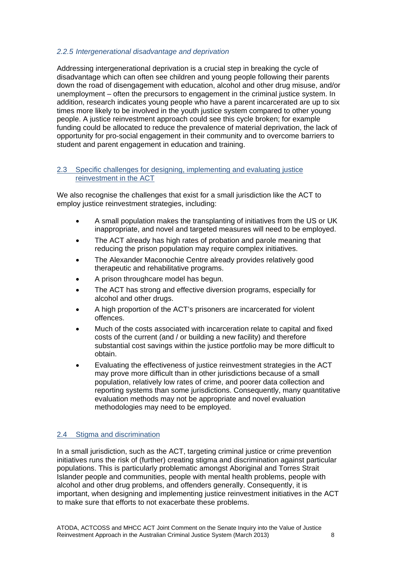## *2.2.5 Intergenerational disadvantage and deprivation*

Addressing intergenerational deprivation is a crucial step in breaking the cycle of disadvantage which can often see children and young people following their parents down the road of disengagement with education, alcohol and other drug misuse, and/or unemployment – often the precursors to engagement in the criminal justice system. In addition, research indicates young people who have a parent incarcerated are up to six times more likely to be involved in the youth justice system compared to other young people. A justice reinvestment approach could see this cycle broken; for example funding could be allocated to reduce the prevalence of material deprivation, the lack of opportunity for pro-social engagement in their community and to overcome barriers to student and parent engagement in education and training.

#### 2.3 Specific challenges for designing, implementing and evaluating justice reinvestment in the ACT

We also recognise the challenges that exist for a small jurisdiction like the ACT to employ justice reinvestment strategies, including:

- A small population makes the transplanting of initiatives from the US or UK inappropriate, and novel and targeted measures will need to be employed.
- The ACT already has high rates of probation and parole meaning that reducing the prison population may require complex initiatives.
- The Alexander Maconochie Centre already provides relatively good therapeutic and rehabilitative programs.
- A prison throughcare model has begun.
- The ACT has strong and effective diversion programs, especially for alcohol and other drugs.
- A high proportion of the ACT's prisoners are incarcerated for violent offences.
- Much of the costs associated with incarceration relate to capital and fixed costs of the current (and / or building a new facility) and therefore substantial cost savings within the justice portfolio may be more difficult to obtain.
- Evaluating the effectiveness of justice reinvestment strategies in the ACT may prove more difficult than in other jurisdictions because of a small population, relatively low rates of crime, and poorer data collection and reporting systems than some jurisdictions. Consequently, many quantitative evaluation methods may not be appropriate and novel evaluation methodologies may need to be employed.

## 2.4 Stigma and discrimination

In a small jurisdiction, such as the ACT, targeting criminal justice or crime prevention initiatives runs the risk of (further) creating stigma and discrimination against particular populations. This is particularly problematic amongst Aboriginal and Torres Strait Islander people and communities, people with mental health problems, people with alcohol and other drug problems, and offenders generally. Consequently, it is important, when designing and implementing justice reinvestment initiatives in the ACT to make sure that efforts to not exacerbate these problems.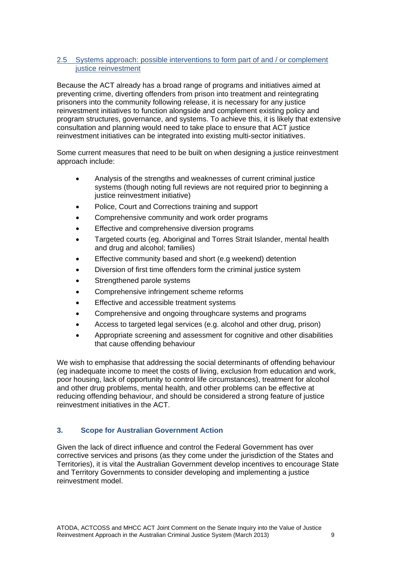## 2.5 Systems approach: possible interventions to form part of and / or complement justice reinvestment

Because the ACT already has a broad range of programs and initiatives aimed at preventing crime, diverting offenders from prison into treatment and reintegrating prisoners into the community following release, it is necessary for any justice reinvestment initiatives to function alongside and complement existing policy and program structures, governance, and systems. To achieve this, it is likely that extensive consultation and planning would need to take place to ensure that ACT justice reinvestment initiatives can be integrated into existing multi-sector initiatives.

Some current measures that need to be built on when designing a justice reinvestment approach include:

- Analysis of the strengths and weaknesses of current criminal justice systems (though noting full reviews are not required prior to beginning a justice reinvestment initiative)
- Police, Court and Corrections training and support
- Comprehensive community and work order programs
- Effective and comprehensive diversion programs
- Targeted courts (eg. Aboriginal and Torres Strait Islander, mental health and drug and alcohol; families)
- Effective community based and short (e.g weekend) detention
- Diversion of first time offenders form the criminal justice system
- Strengthened parole systems
- Comprehensive infringement scheme reforms
- Effective and accessible treatment systems
- Comprehensive and ongoing throughcare systems and programs
- Access to targeted legal services (e.g. alcohol and other drug, prison)
- Appropriate screening and assessment for cognitive and other disabilities that cause offending behaviour

We wish to emphasise that addressing the social determinants of offending behaviour (eg inadequate income to meet the costs of living, exclusion from education and work, poor housing, lack of opportunity to control life circumstances), treatment for alcohol and other drug problems, mental health, and other problems can be effective at reducing offending behaviour, and should be considered a strong feature of justice reinvestment initiatives in the ACT.

#### **3. Scope for Australian Government Action**

Given the lack of direct influence and control the Federal Government has over corrective services and prisons (as they come under the jurisdiction of the States and Territories), it is vital the Australian Government develop incentives to encourage State and Territory Governments to consider developing and implementing a justice reinvestment model.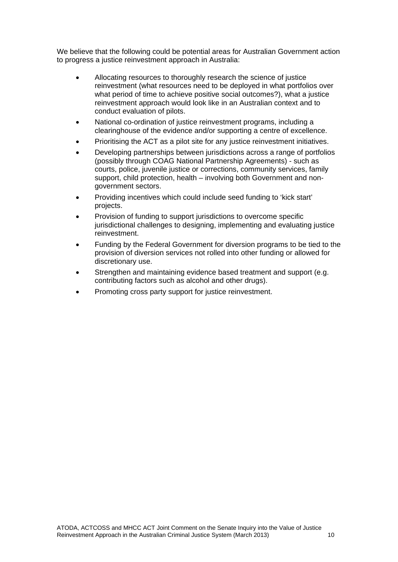We believe that the following could be potential areas for Australian Government action to progress a justice reinvestment approach in Australia:

- Allocating resources to thoroughly research the science of justice reinvestment (what resources need to be deployed in what portfolios over what period of time to achieve positive social outcomes?), what a justice reinvestment approach would look like in an Australian context and to conduct evaluation of pilots.
- National co-ordination of justice reinvestment programs, including a clearinghouse of the evidence and/or supporting a centre of excellence.
- Prioritising the ACT as a pilot site for any justice reinvestment initiatives.
- Developing partnerships between jurisdictions across a range of portfolios (possibly through COAG National Partnership Agreements) - such as courts, police, juvenile justice or corrections, community services, family support, child protection, health – involving both Government and nongovernment sectors.
- Providing incentives which could include seed funding to 'kick start' projects.
- Provision of funding to support jurisdictions to overcome specific jurisdictional challenges to designing, implementing and evaluating justice reinvestment.
- Funding by the Federal Government for diversion programs to be tied to the provision of diversion services not rolled into other funding or allowed for discretionary use.
- Strengthen and maintaining evidence based treatment and support (e.g. contributing factors such as alcohol and other drugs).
- Promoting cross party support for justice reinvestment.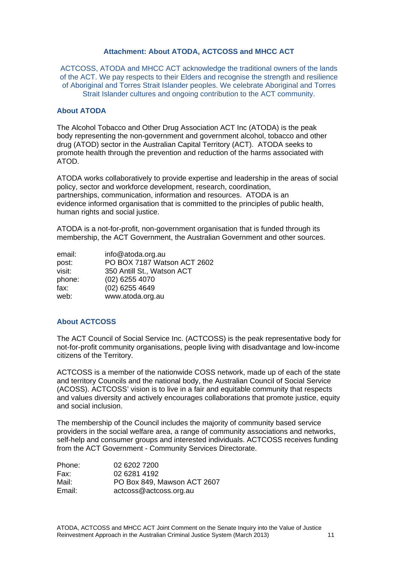#### **Attachment: About ATODA, ACTCOSS and MHCC ACT**

ACTCOSS, ATODA and MHCC ACT acknowledge the traditional owners of the lands of the ACT. We pay respects to their Elders and recognise the strength and resilience of Aboriginal and Torres Strait Islander peoples. We celebrate Aboriginal and Torres Strait Islander cultures and ongoing contribution to the ACT community.

#### **About ATODA**

The Alcohol Tobacco and Other Drug Association ACT Inc (ATODA) is the peak body representing the non-government and government alcohol, tobacco and other drug (ATOD) sector in the Australian Capital Territory (ACT). ATODA seeks to promote health through the prevention and reduction of the harms associated with ATOD.

ATODA works collaboratively to provide expertise and leadership in the areas of social policy, sector and workforce development, research, coordination, partnerships, communication, information and resources. ATODA is an evidence informed organisation that is committed to the principles of public health, human rights and social justice.

ATODA is a not-for-profit, non-government organisation that is funded through its membership, the ACT Government, the Australian Government and other sources.

| email: | info@atoda.org.au           |
|--------|-----------------------------|
| post:  | PO BOX 7187 Watson ACT 2602 |
| visit: | 350 Antill St., Watson ACT  |
| phone: | $(02)$ 6255 4070            |
| fax:   | $(02)$ 6255 4649            |
| web:   | www.atoda.org.au            |

#### **About ACTCOSS**

The ACT Council of Social Service Inc. (ACTCOSS) is the peak representative body for not-for-profit community organisations, people living with disadvantage and low-income citizens of the Territory.

ACTCOSS is a member of the nationwide COSS network, made up of each of the state and territory Councils and the national body, the Australian Council of Social Service (ACOSS). ACTCOSS' vision is to live in a fair and equitable community that respects and values diversity and actively encourages collaborations that promote iustice. equity and social inclusion.

The membership of the Council includes the majority of community based service providers in the social welfare area, a range of community associations and networks, self-help and consumer groups and interested individuals. ACTCOSS receives funding from the ACT Government - Community Services Directorate.

| Phone: | 02 6202 7200                |
|--------|-----------------------------|
| Fax:   | 02 6281 4192                |
| Mail:  | PO Box 849, Mawson ACT 2607 |
| Email: | actcoss@actcoss.org.au      |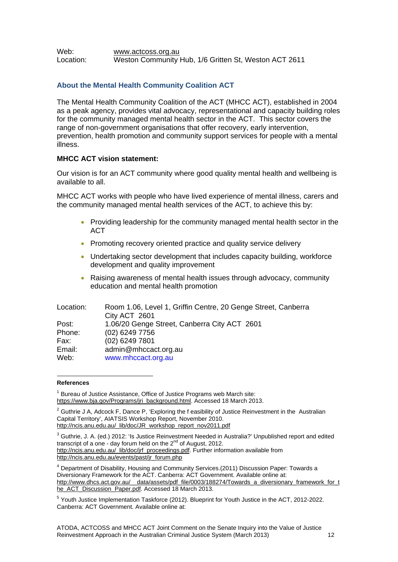#### Web: www.actcoss.org.au Location: Weston Community Hub, 1/6 Gritten St, Weston ACT 2611

# **About the Mental Health Community Coalition ACT**

The Mental Health Community Coalition of the ACT (MHCC ACT), established in 2004 as a peak agency, provides vital advocacy, representational and capacity building roles for the community managed mental health sector in the ACT. This sector covers the range of non-government organisations that offer recovery, early intervention, prevention, health promotion and community support services for people with a mental illness.

# **MHCC ACT vision statement:**

Our vision is for an ACT community where good quality mental health and wellbeing is available to all.

MHCC ACT works with people who have lived experience of mental illness, carers and the community managed mental health services of the ACT, to achieve this by:

- Providing leadership for the community managed mental health sector in the **ACT**
- Promoting recovery oriented practice and quality service delivery
- Undertaking sector development that includes capacity building, workforce development and quality improvement
- Raising awareness of mental health issues through advocacy, community education and mental health promotion

| Location: | Room 1.06, Level 1, Griffin Centre, 20 Genge Street, Canberra |
|-----------|---------------------------------------------------------------|
|           | City ACT 2601                                                 |
| Post:     | 1.06/20 Genge Street, Canberra City ACT 2601                  |
| Phone:    | (02) 6249 7756                                                |
| Fax:      | $(02)$ 6249 7801                                              |
| Email:    | admin@mhccact.org.au                                          |
| Web:      | www.mhccact.org.au                                            |

#### 1 **References**

<sup>1</sup> Bureau of Justice Assistance, Office of Justice Programs web March site: https://www.bia.gov/Programs/iri\_background.html. Accessed 18 March 2013.

 $2$  Guthrie J A, Adcock F, Dance P, 'Exploring the f easibility of Justice Reinvestment in the Australian Capital Territory', AIATSIS Workshop Report, November 2010. http://ncis.anu.edu.au/\_lib/doc/JR\_workshop\_report\_nov2011.pdf

 $3$  Guthrie, J. A. (ed.) 2012: 'Is Justice Reinvestment Needed in Australia?' Unpublished report and edited transcript of a one - day forum held on the  $2^{nd}$  of August, 2012. http://ncis.anu.edu.au/\_lib/doc/jrf\_proceedings.pdf. Further information available from http://ncis.anu.edu.au/events/past/jr\_forum.php

<sup>4</sup> Department of Disability, Housing and Community Services.(2011) Discussion Paper: Towards a Diversionary Framework for the ACT. Canberra: ACT Government. Available online at: http://www.dhcs.act.gov.au/\_\_data/assets/pdf\_file/0003/188274/Towards\_a\_diversionary\_framework\_for\_t he\_ACT\_Discussion\_Paper.pdf. Accessed 18 March 2013.

<sup>5</sup> Youth Justice Implementation Taskforce (2012). Blueprint for Youth Justice in the ACT, 2012-2022. Canberra: ACT Government. Available online at: